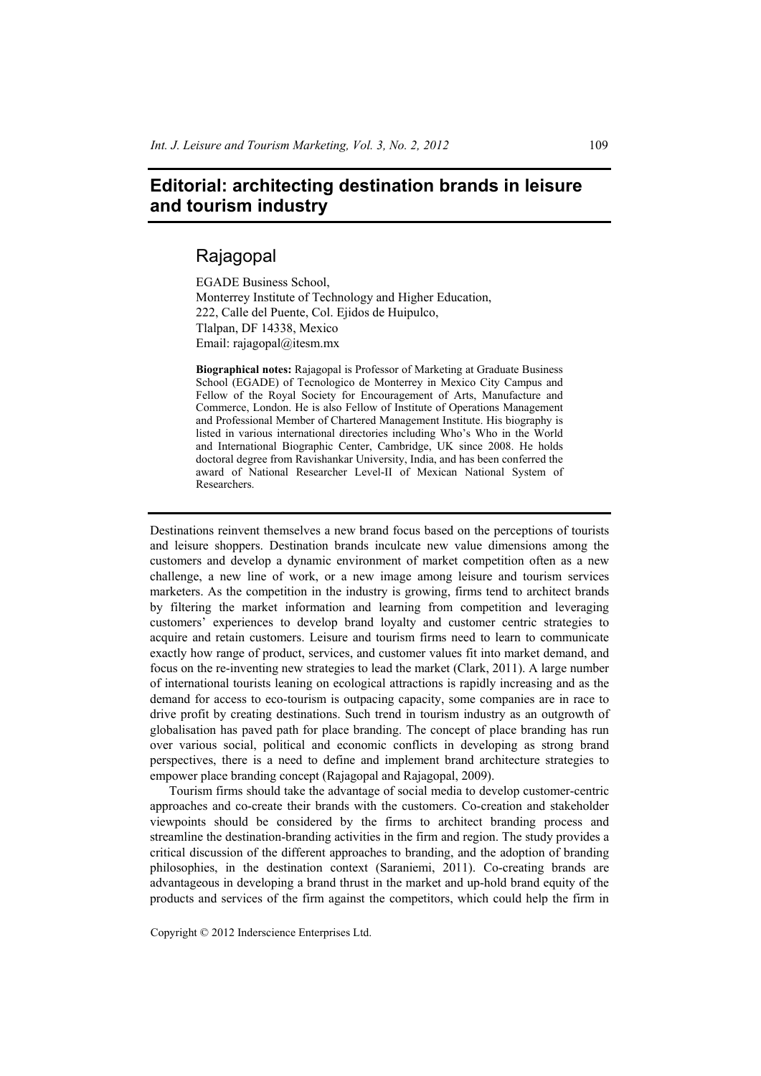## **Editorial: architecting destination brands in leisure and tourism industry**

## Rajagopal

EGADE Business School, Monterrey Institute of Technology and Higher Education, 222, Calle del Puente, Col. Ejidos de Huipulco, Tlalpan, DF 14338, Mexico Email: rajagopal@itesm.mx

**Biographical notes:** Rajagopal is Professor of Marketing at Graduate Business School (EGADE) of Tecnologico de Monterrey in Mexico City Campus and Fellow of the Royal Society for Encouragement of Arts, Manufacture and Commerce, London. He is also Fellow of Institute of Operations Management and Professional Member of Chartered Management Institute. His biography is listed in various international directories including Who's Who in the World and International Biographic Center, Cambridge, UK since 2008. He holds doctoral degree from Ravishankar University, India, and has been conferred the award of National Researcher Level-II of Mexican National System of Researchers.

Destinations reinvent themselves a new brand focus based on the perceptions of tourists and leisure shoppers. Destination brands inculcate new value dimensions among the customers and develop a dynamic environment of market competition often as a new challenge, a new line of work, or a new image among leisure and tourism services marketers. As the competition in the industry is growing, firms tend to architect brands by filtering the market information and learning from competition and leveraging customers' experiences to develop brand loyalty and customer centric strategies to acquire and retain customers. Leisure and tourism firms need to learn to communicate exactly how range of product, services, and customer values fit into market demand, and focus on the re-inventing new strategies to lead the market (Clark, 2011). A large number of international tourists leaning on ecological attractions is rapidly increasing and as the demand for access to eco-tourism is outpacing capacity, some companies are in race to drive profit by creating destinations. Such trend in tourism industry as an outgrowth of globalisation has paved path for place branding. The concept of place branding has run over various social, political and economic conflicts in developing as strong brand perspectives, there is a need to define and implement brand architecture strategies to empower place branding concept (Rajagopal and Rajagopal, 2009).

Tourism firms should take the advantage of social media to develop customer-centric approaches and co-create their brands with the customers. Co-creation and stakeholder viewpoints should be considered by the firms to architect branding process and streamline the destination-branding activities in the firm and region. The study provides a critical discussion of the different approaches to branding, and the adoption of branding philosophies, in the destination context (Saraniemi, 2011). Co-creating brands are advantageous in developing a brand thrust in the market and up-hold brand equity of the products and services of the firm against the competitors, which could help the firm in

Copyright © 2012 Inderscience Enterprises Ltd.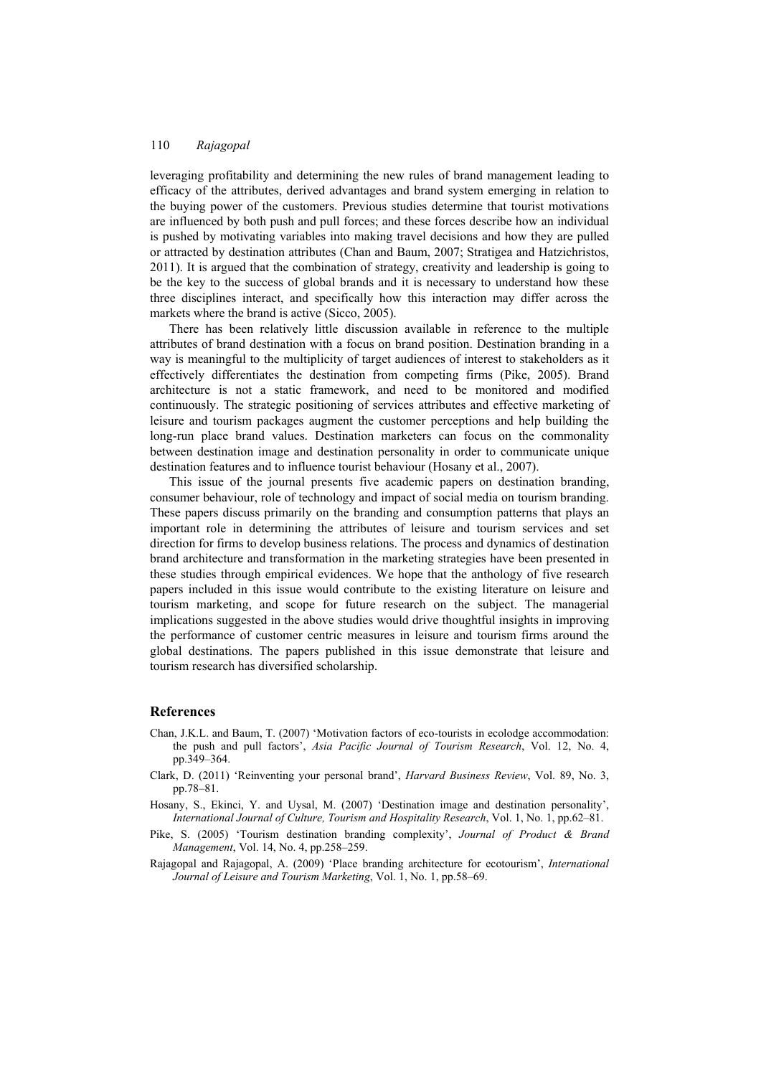## 110 *Rajagopal*

leveraging profitability and determining the new rules of brand management leading to efficacy of the attributes, derived advantages and brand system emerging in relation to the buying power of the customers. Previous studies determine that tourist motivations are influenced by both push and pull forces; and these forces describe how an individual is pushed by motivating variables into making travel decisions and how they are pulled or attracted by destination attributes (Chan and Baum, 2007; Stratigea and Hatzichristos, 2011). It is argued that the combination of strategy, creativity and leadership is going to be the key to the success of global brands and it is necessary to understand how these three disciplines interact, and specifically how this interaction may differ across the markets where the brand is active (Sicco, 2005).

There has been relatively little discussion available in reference to the multiple attributes of brand destination with a focus on brand position. Destination branding in a way is meaningful to the multiplicity of target audiences of interest to stakeholders as it effectively differentiates the destination from competing firms (Pike, 2005). Brand architecture is not a static framework, and need to be monitored and modified continuously. The strategic positioning of services attributes and effective marketing of leisure and tourism packages augment the customer perceptions and help building the long-run place brand values. Destination marketers can focus on the commonality between destination image and destination personality in order to communicate unique destination features and to influence tourist behaviour (Hosany et al., 2007).

This issue of the journal presents five academic papers on destination branding, consumer behaviour, role of technology and impact of social media on tourism branding. These papers discuss primarily on the branding and consumption patterns that plays an important role in determining the attributes of leisure and tourism services and set direction for firms to develop business relations. The process and dynamics of destination brand architecture and transformation in the marketing strategies have been presented in these studies through empirical evidences. We hope that the anthology of five research papers included in this issue would contribute to the existing literature on leisure and tourism marketing, and scope for future research on the subject. The managerial implications suggested in the above studies would drive thoughtful insights in improving the performance of customer centric measures in leisure and tourism firms around the global destinations. The papers published in this issue demonstrate that leisure and tourism research has diversified scholarship.

## **References**

- Chan, J.K.L. and Baum, T. (2007) 'Motivation factors of eco-tourists in ecolodge accommodation: the push and pull factors', *Asia Pacific Journal of Tourism Research*, Vol. 12, No. 4, pp.349–364.
- Clark, D. (2011) 'Reinventing your personal brand', *Harvard Business Review*, Vol. 89, No. 3, pp.78–81.
- Hosany, S., Ekinci, Y. and Uysal, M. (2007) 'Destination image and destination personality', *International Journal of Culture, Tourism and Hospitality Research*, Vol. 1, No. 1, pp.62–81.
- Pike, S. (2005) 'Tourism destination branding complexity', *Journal of Product & Brand Management*, Vol. 14, No. 4, pp.258–259.
- Rajagopal and Rajagopal, A. (2009) 'Place branding architecture for ecotourism', *International Journal of Leisure and Tourism Marketing*, Vol. 1, No. 1, pp.58–69.